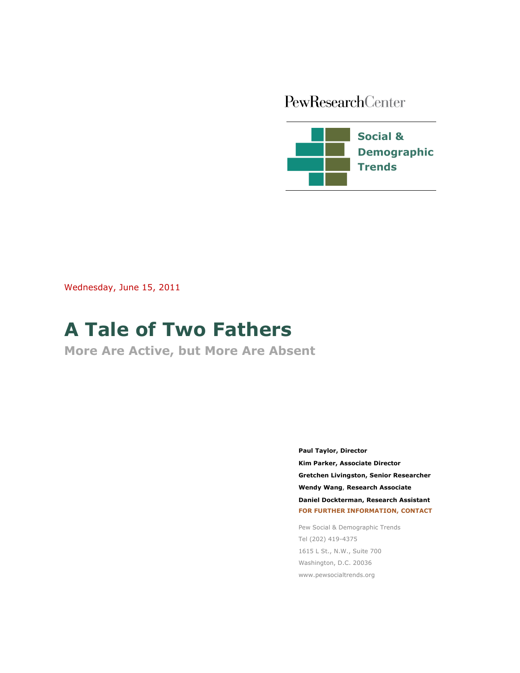# PewResearchCenter



Wednesday, June 15, 2011

# **A Tale of Two Fathers**

**More Are Active, but More Are Absent**

**Paul Taylor, Director Kim Parker, Associate Director Demographer Gretchen Livingston, Senior Researcher Wendy Wang**, **Research Associate Daniel Dockterman, Research Assistant FOR FURTHER INFORMATION, CONTACT**

Pew Social & Demographic Trends Tel (202) 419-4375 1615 L St., N.W., Suite 700 Washington, D.C. 20036 www.pewsocialtrends.org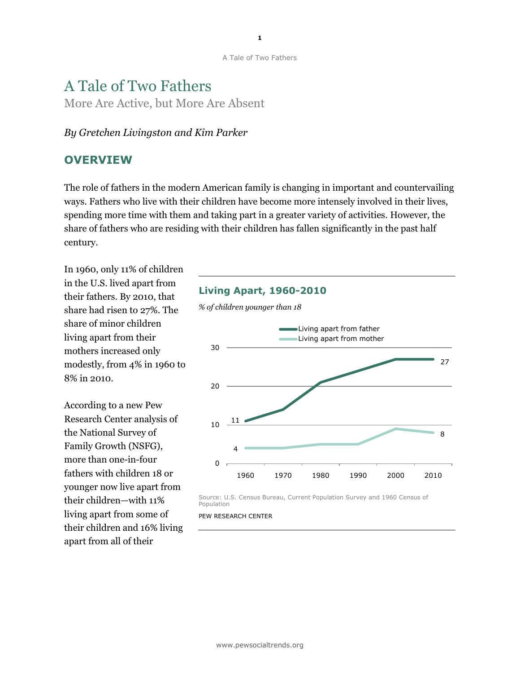# A Tale of Two Fathers More Are Active, but More Are Absent

#### *By Gretchen Livingston and Kim Parker*

### **OVERVIEW**

The role of fathers in the modern American family is changing in important and countervailing ways. Fathers who live with their children have become more intensely involved in their lives, spending more time with them and taking part in a greater variety of activities. However, the share of fathers who are residing with their children has fallen significantly in the past half century.

In 1960, only 11% of children in the U.S. lived apart from their fathers. By 2010, that share had risen to 27%. The share of minor children living apart from their mothers increased only modestly, from 4% in 1960 to 8% in 2010.

According to a new Pew Research Center analysis of the National Survey of Family Growth (NSFG), more than one-in-four fathers with children 18 or younger now live apart from their children—with 11% living apart from some of their children and 16% living apart from all of their

#### **Living Apart, 1960-2010**

*% of children younger than 18*



Source: U.S. Census Bureau, Current Population Survey and 1960 Census of Population

PEW RESEARCH CENTER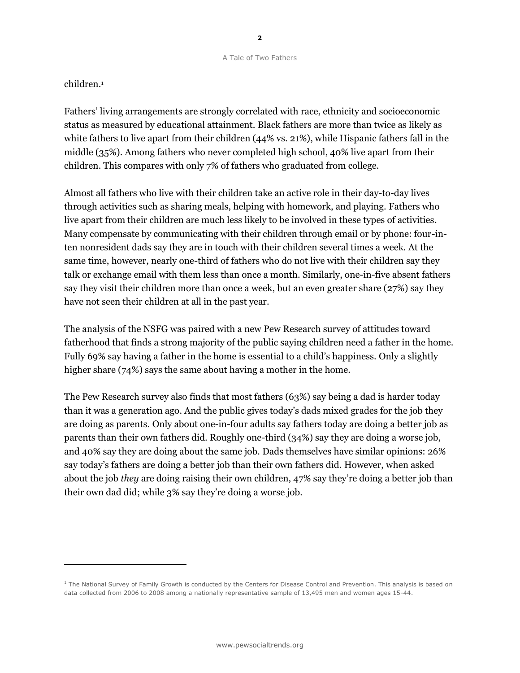#### children. 1

l,

Fathers' living arrangements are strongly correlated with race, ethnicity and socioeconomic status as measured by educational attainment. Black fathers are more than twice as likely as white fathers to live apart from their children (44% vs. 21%), while Hispanic fathers fall in the middle (35%). Among fathers who never completed high school, 40% live apart from their children. This compares with only 7% of fathers who graduated from college.

Almost all fathers who live with their children take an active role in their day-to-day lives through activities such as sharing meals, helping with homework, and playing. Fathers who live apart from their children are much less likely to be involved in these types of activities. Many compensate by communicating with their children through email or by phone: four-inten nonresident dads say they are in touch with their children several times a week. At the same time, however, nearly one-third of fathers who do not live with their children say they talk or exchange email with them less than once a month. Similarly, one-in-five absent fathers say they visit their children more than once a week, but an even greater share (27%) say they have not seen their children at all in the past year.

The analysis of the NSFG was paired with a new Pew Research survey of attitudes toward fatherhood that finds a strong majority of the public saying children need a father in the home. Fully 69% say having a father in the home is essential to a child's happiness. Only a slightly higher share (74%) says the same about having a mother in the home.

The Pew Research survey also finds that most fathers (63%) say being a dad is harder today than it was a generation ago. And the public gives today's dads mixed grades for the job they are doing as parents. Only about one-in-four adults say fathers today are doing a better job as parents than their own fathers did. Roughly one-third (34%) say they are doing a worse job, and 40% say they are doing about the same job. Dads themselves have similar opinions: 26% say today's fathers are doing a better job than their own fathers did. However, when asked about the job *they* are doing raising their own children, 47% say they're doing a better job than their own dad did; while 3% say they're doing a worse job.

 $1$  The National Survey of Family Growth is conducted by the Centers for Disease Control and Prevention. This analysis is based on data collected from 2006 to 2008 among a nationally representative sample of 13,495 men and women ages 15-44.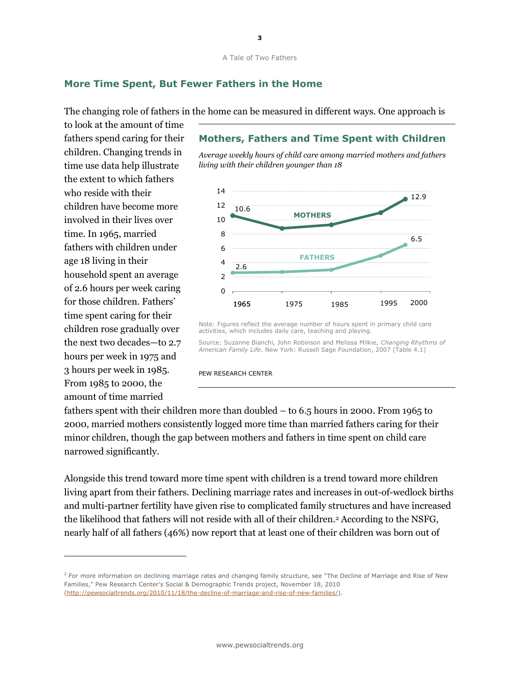#### **More Time Spent, But Fewer Fathers in the Home**

The changing role of fathers in the home can be measured in different ways. One approach is

to look at the amount of time fathers spend caring for their children. Changing trends in time use data help illustrate the extent to which fathers who reside with their children have become more involved in their lives over time. In 1965, married fathers with children under age 18 living in their household spent an average of 2.6 hours per week caring for those children. Fathers' time spent caring for their children rose gradually over the next two decades—to 2.7 hours per week in 1975 and 3 hours per week in 1985. From 1985 to 2000, the amount of time married

 $\overline{a}$ 

### **Mothers, Fathers and Time Spent with Children**

*Average weekly hours of child care among married mothers and fathers living with their children younger than 18*



Note: Figures reflect the average number of hours spent in primary child care activities, which includes daily care, teaching and playing.

Source: Suzanne Bianchi, John Robinson and Melissa Milkie, *Changing Rhythms of American Family Life*. New York: Russell Sage Foundation, 2007 (Table 4.1)

PEW RESEARCH CENTER

fathers spent with their children more than doubled – to 6.5 hours in 2000. From 1965 to 2000, married mothers consistently logged more time than married fathers caring for their minor children, though the gap between mothers and fathers in time spent on child care narrowed significantly.

Alongside this trend toward more time spent with children is a trend toward more children living apart from their fathers. Declining marriage rates and increases in out-of-wedlock births and multi-partner fertility have given rise to complicated family structures and have increased the likelihood that fathers will not reside with all of their children. <sup>2</sup> According to the NSFG, nearly half of all fathers (46%) now report that at least one of their children was born out of

<sup>&</sup>lt;sup>2</sup> For more information on declining marriage rates and changing family structure, see "The Decline of Marriage and Rise of New Families," Pew Research Center's Social & Demographic Trends project, November 18, 2010 [\(http://pewsocialtrends.org/2010/11/18/the-decline-of-marriage-and-rise-of-new-families/\)](http://pewsocialtrends.org/2010/11/18/the-decline-of-marriage-and-rise-of-new-families/).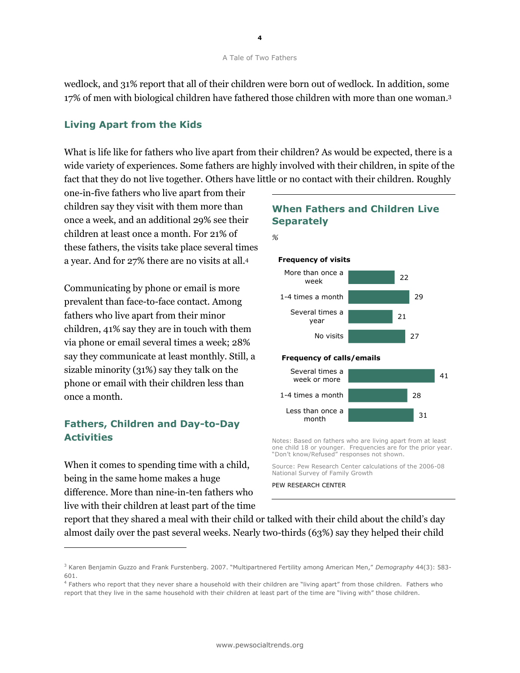wedlock, and 31% report that all of their children were born out of wedlock. In addition, some 17% of men with biological children have fathered those children with more than one woman. 3

#### **Living Apart from the Kids**

What is life like for fathers who live apart from their children? As would be expected, there is a wide variety of experiences. Some fathers are highly involved with their children, in spite of the fact that they do not live together. Others have little or no contact with their children. Roughly

one-in-five fathers who live apart from their children say they visit with them more than once a week, and an additional 29% see their children at least once a month. For 21% of these fathers, the visits take place several times a year. And for 27% there are no visits at all.<sup>4</sup>

Communicating by phone or email is more prevalent than face-to-face contact. Among fathers who live apart from their minor children, 41% say they are in touch with them via phone or email several times a week; 28% say they communicate at least monthly. Still, a sizable minority (31%) say they talk on the phone or email with their children less than once a month.

### **Fathers, Children and Day-to-Day Activities**

When it comes to spending time with a child, being in the same home makes a huge difference. More than nine-in-ten fathers who live with their children at least part of the time

1

#### **When Fathers and Children Live Separately**



#### **Frequency of visits**



Notes: Based on fathers who are living apart from at least one child 18 or younger. Frequencies are for the prior year. "Don't know/Refused" responses not shown.

Source: Pew Research Center calculations of the 2006-08 National Survey of Family Growth

PEW RESEARCH CENTER

month

report that they shared a meal with their child or talked with their child about the child's day almost daily over the past several weeks. Nearly two-thirds (63%) say they helped their child

<sup>3</sup> Karen Benjamin Guzzo and Frank Furstenberg. 2007. "Multipartnered Fertility among American Men," *Demography* 44(3): 583- 601.

<sup>&</sup>lt;sup>4</sup> Fathers who report that they never share a household with their children are "living apart" from those children. Fathers who report that they live in the same household with their children at least part of the time are "living with" those children.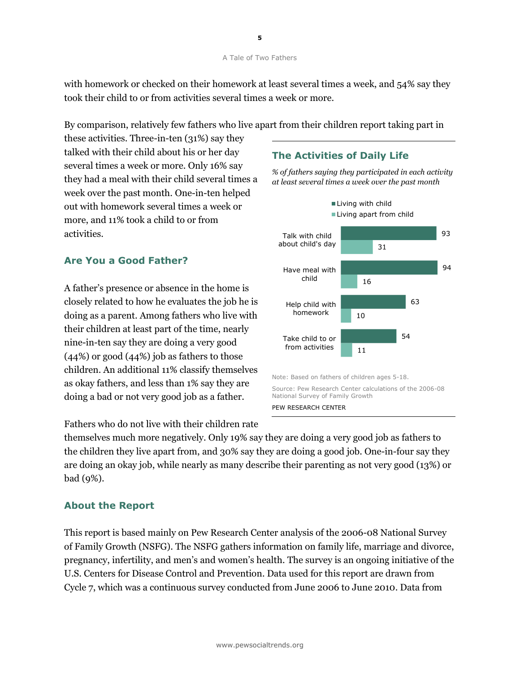with homework or checked on their homework at least several times a week, and 54% say they took their child to or from activities several times a week or more.

By comparison, relatively few fathers who live apart from their children report taking part in

these activities. Three-in-ten (31%) say they talked with their child about his or her day several times a week or more. Only 16% say they had a meal with their child several times a week over the past month. One-in-ten helped out with homework several times a week or more, and 11% took a child to or from activities.

### **Are You a Good Father?**

A father's presence or absence in the home is closely related to how he evaluates the job he is doing as a parent. Among fathers who live with their children at least part of the time, nearly nine-in-ten say they are doing a very good (44%) or good (44%) job as fathers to those children. An additional 11% classify themselves as okay fathers, and less than 1% say they are doing a bad or not very good job as a father.

Fathers who do not live with their children rate

themselves much more negatively. Only 19% say they are doing a very good job as fathers to the children they live apart from, and 30% say they are doing a good job. One-in-four say they are doing an okay job, while nearly as many describe their parenting as not very good (13%) or bad (9%).

#### **About the Report**

This report is based mainly on Pew Research Center analysis of the 2006-08 National Survey of Family Growth (NSFG). The NSFG gathers information on family life, marriage and divorce, pregnancy, infertility, and men's and women's health. The survey is an ongoing initiative of the U.S. Centers for Disease Control and Prevention. Data used for this report are drawn from Cycle 7, which was a continuous survey conducted from June 2006 to June 2010. Data from

### **The Activities of Daily Life**

*% of fathers saying they participated in each activity at least several times a week over the past month*

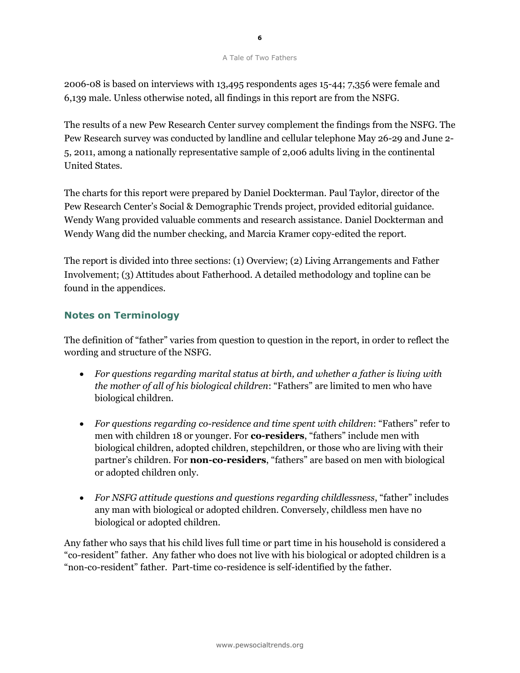2006-08 is based on interviews with 13,495 respondents ages 15-44; 7,356 were female and 6,139 male. Unless otherwise noted, all findings in this report are from the NSFG.

The results of a new Pew Research Center survey complement the findings from the NSFG. The Pew Research survey was conducted by landline and cellular telephone May 26-29 and June 2- 5, 2011, among a nationally representative sample of 2,006 adults living in the continental United States.

The charts for this report were prepared by Daniel Dockterman. Paul Taylor, director of the Pew Research Center's Social & Demographic Trends project, provided editorial guidance. Wendy Wang provided valuable comments and research assistance. Daniel Dockterman and Wendy Wang did the number checking, and Marcia Kramer copy-edited the report.

The report is divided into three sections: (1) Overview; (2) Living Arrangements and Father Involvement; (3) Attitudes about Fatherhood. A detailed methodology and topline can be found in the appendices.

### **Notes on Terminology**

The definition of "father" varies from question to question in the report, in order to reflect the wording and structure of the NSFG.

- *For questions regarding marital status at birth, and whether a father is living with the mother of all of his biological children*: "Fathers" are limited to men who have biological children.
- For questions regarding co-residence and time spent with children: "Fathers" refer to men with children 18 or younger. For **co-residers**, "fathers" include men with biological children, adopted children, stepchildren, or those who are living with their partner's children. For **non-co-residers**, "fathers" are based on men with biological or adopted children only.
- For NSFG attitude questions and questions regarding childlessness, "father" includes any man with biological or adopted children. Conversely, childless men have no biological or adopted children.

Any father who says that his child lives full time or part time in his household is considered a ―co-resident‖ father. Any father who does not live with his biological or adopted children is a ―non-co-resident‖ father. Part-time co-residence is self-identified by the father.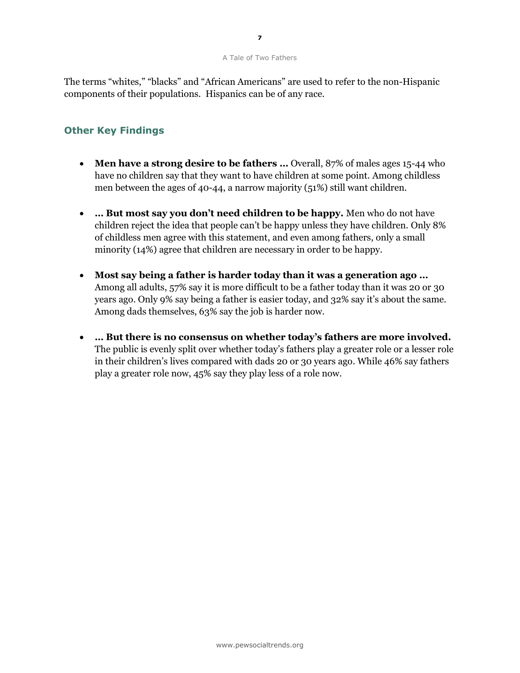The terms "whites," "blacks" and "African Americans" are used to refer to the non-Hispanic components of their populations. Hispanics can be of any race.

#### **Other Key Findings**

- **Men have a strong desire to be fathers …** Overall, 87% of males ages 15-44 who have no children say that they want to have children at some point. Among childless men between the ages of 40-44, a narrow majority (51%) still want children.
- **… But most say you don't need children to be happy.** Men who do not have children reject the idea that people can't be happy unless they have children. Only 8% of childless men agree with this statement, and even among fathers, only a small minority (14%) agree that children are necessary in order to be happy.
- **Most say being a father is harder today than it was a generation ago …** Among all adults, 57% say it is more difficult to be a father today than it was 20 or 30 years ago. Only 9% say being a father is easier today, and 32% say it's about the same. Among dads themselves, 63% say the job is harder now.
- **… But there is no consensus on whether today's fathers are more involved.**  The public is evenly split over whether today's fathers play a greater role or a lesser role in their children's lives compared with dads 20 or 30 years ago. While 46% say fathers play a greater role now, 45% say they play less of a role now.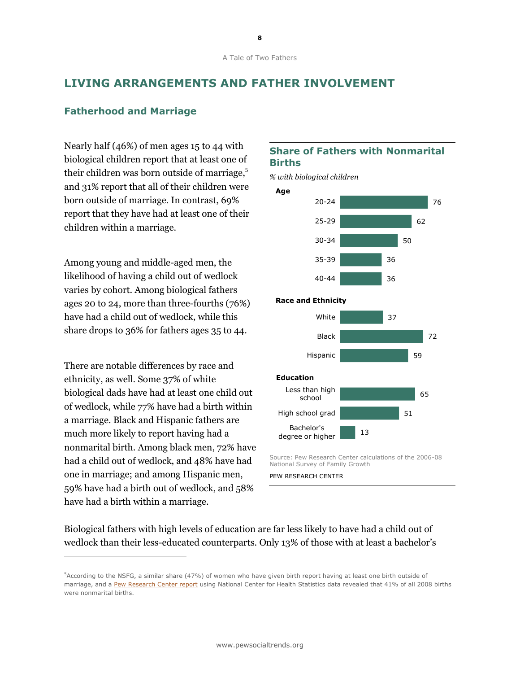### **LIVING ARRANGEMENTS AND FATHER INVOLVEMENT**

#### **Fatherhood and Marriage**

Nearly half (46%) of men ages 15 to 44 with biological children report that at least one of their children was born outside of marriage, 5 and 31% report that all of their children were born outside of marriage. In contrast, 69% report that they have had at least one of their children within a marriage.

Among young and middle-aged men, the likelihood of having a child out of wedlock varies by cohort. Among biological fathers ages 20 to 24, more than three-fourths (76%) have had a child out of wedlock, while this share drops to 36% for fathers ages 35 to 44.

There are notable differences by race and ethnicity, as well. Some 37% of white biological dads have had at least one child out of wedlock, while 77% have had a birth within a marriage. Black and Hispanic fathers are much more likely to report having had a nonmarital birth. Among black men, 72% have had a child out of wedlock, and 48% have had one in marriage; and among Hispanic men, 59% have had a birth out of wedlock, and 58% have had a birth within a marriage.

 $\overline{a}$ 

#### **Share of Fathers with Nonmarital Births**

*% with biological children*



Source: Pew Research Center calculations of the 2006-08 National Survey of Family Growth

PEW RESEARCH CENTER

Biological fathers with high levels of education are far less likely to have had a child out of wedlock than their less-educated counterparts. Only 13% of those with at least a bachelor's

<sup>&</sup>lt;sup>5</sup>According to the NSFG, a similar share (47%) of women who have given birth report having at least one birth outside of marriage, and a [Pew Research Center report](http://pewsocialtrends.org/2010/05/06/the-new-demography-of-american-motherhood/) using National Center for Health Statistics data revealed that 41% of all 2008 births were nonmarital births.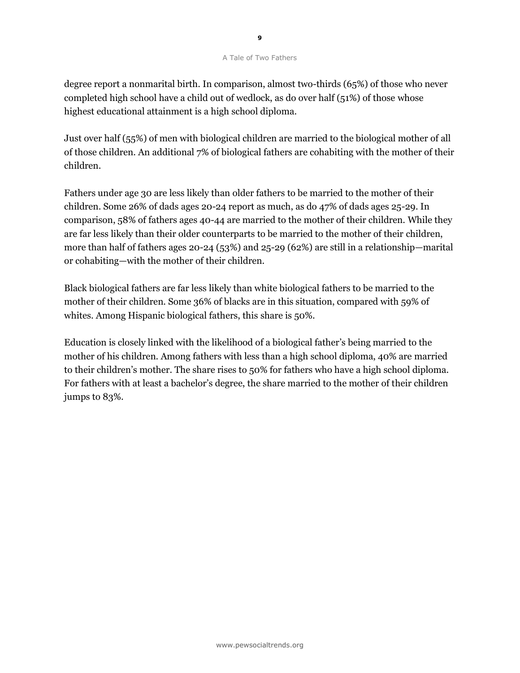degree report a nonmarital birth. In comparison, almost two-thirds (65%) of those who never completed high school have a child out of wedlock, as do over half (51%) of those whose highest educational attainment is a high school diploma.

Just over half (55%) of men with biological children are married to the biological mother of all of those children. An additional 7% of biological fathers are cohabiting with the mother of their children.

Fathers under age 30 are less likely than older fathers to be married to the mother of their children. Some 26% of dads ages 20-24 report as much, as do 47% of dads ages 25-29. In comparison, 58% of fathers ages 40-44 are married to the mother of their children. While they are far less likely than their older counterparts to be married to the mother of their children, more than half of fathers ages 20-24 (53%) and 25-29 (62%) are still in a relationship—marital or cohabiting—with the mother of their children.

Black biological fathers are far less likely than white biological fathers to be married to the mother of their children. Some 36% of blacks are in this situation, compared with 59% of whites. Among Hispanic biological fathers, this share is 50%.

Education is closely linked with the likelihood of a biological father's being married to the mother of his children. Among fathers with less than a high school diploma, 40% are married to their children's mother. The share rises to 50% for fathers who have a high school diploma. For fathers with at least a bachelor's degree, the share married to the mother of their children jumps to 83%.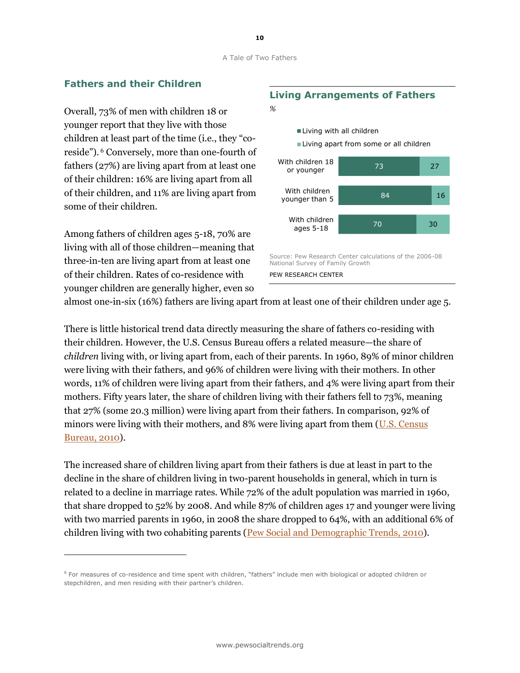#### **Fathers and their Children**

Overall, 73% of men with children 18 or younger report that they live with those children at least part of the time (i.e., they "coreside"). <sup>6</sup> Conversely, more than one-fourth of fathers (27%) are living apart from at least one of their children: 16% are living apart from all of their children, and 11% are living apart from some of their children.

Among fathers of children ages 5-18, 70% are living with all of those children—meaning that three-in-ten are living apart from at least one of their children. Rates of co-residence with younger children are generally higher, even so

1

# **Living Arrangements of Fathers**





almost one-in-six (16%) fathers are living apart from at least one of their children under age 5.

There is little historical trend data directly measuring the share of fathers co-residing with their children. However, the U.S. Census Bureau offers a related measure—the share of *children* living with, or living apart from, each of their parents. In 1960, 89% of minor children were living with their fathers, and 96% of children were living with their mothers. In other words, 11% of children were living apart from their fathers, and 4% were living apart from their mothers. Fifty years later, the share of children living with their fathers fell to 73%, meaning that 27% (some 20.3 million) were living apart from their fathers. In comparison, 92% of minors were living with their mothers, and 8% were living apart from them [\(U.S. Census](http://www.census.gov/population/www/socdemo/hh-fam.html)  [Bureau, 2010\)](http://www.census.gov/population/www/socdemo/hh-fam.html).

The increased share of children living apart from their fathers is due at least in part to the decline in the share of children living in two-parent households in general, which in turn is related to a decline in marriage rates. While 72% of the adult population was married in 1960, that share dropped to 52% by 2008. And while 87% of children ages 17 and younger were living with two married parents in 1960, in 2008 the share dropped to 64%, with an additional 6% of children living with two cohabiting parents [\(Pew Social and Demographic Trends, 2010\)](http://pewsocialtrends.org/2010/11/18/the-decline-of-marriage-and-rise-of-new-families/).

<sup>6</sup> For measures of co-residence and time spent with children, "fathers" include men with biological or adopted children or stepchildren, and men residing with their partner's children.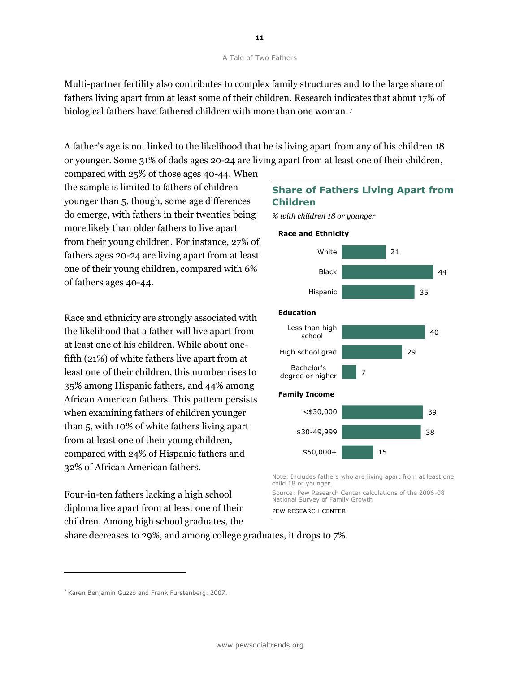Multi-partner fertility also contributes to complex family structures and to the large share of fathers living apart from at least some of their children. Research indicates that about 17% of biological fathers have fathered children with more than one woman. <sup>7</sup>

A father's age is not linked to the likelihood that he is living apart from any of his children 18 or younger. Some 31% of dads ages 20-24 are living apart from at least one of their children,

compared with 25% of those ages 40-44. When the sample is limited to fathers of children younger than 5, though, some age differences do emerge, with fathers in their twenties being more likely than older fathers to live apart from their young children. For instance, 27% of fathers ages 20-24 are living apart from at least one of their young children, compared with 6% of fathers ages 40-44.

Race and ethnicity are strongly associated with the likelihood that a father will live apart from at least one of his children. While about onefifth (21%) of white fathers live apart from at least one of their children, this number rises to 35% among Hispanic fathers, and 44% among African American fathers. This pattern persists when examining fathers of children younger than 5, with 10% of white fathers living apart from at least one of their young children, compared with 24% of Hispanic fathers and 32% of African American fathers.

Four-in-ten fathers lacking a high school diploma live apart from at least one of their children. Among high school graduates, the

### **Share of Fathers Living Apart from Children**

*% with children 18 or younger*



Note: Includes fathers who are living apart from at least one child 18 or younger.

Source: Pew Research Center calculations of the 2006-08 National Survey of Family Growth

PEW RESEARCH CENTER

share decreases to 29%, and among college graduates, it drops to 7%.

1

<sup>&</sup>lt;sup>7</sup> Karen Benjamin Guzzo and Frank Furstenberg. 2007.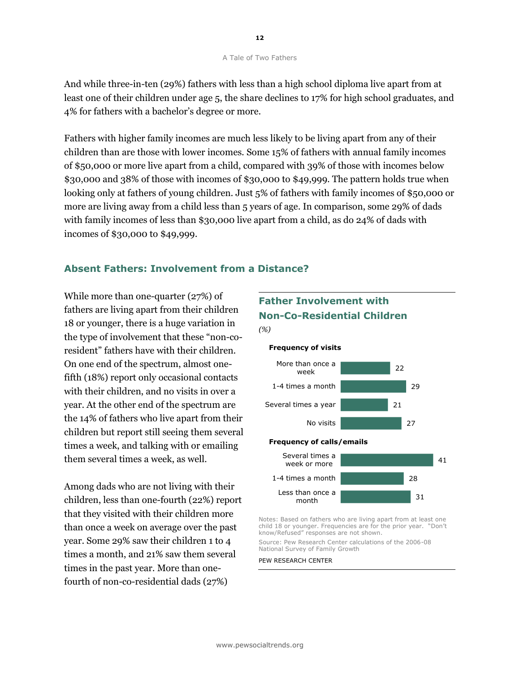And while three-in-ten (29%) fathers with less than a high school diploma live apart from at least one of their children under age 5, the share declines to 17% for high school graduates, and 4% for fathers with a bachelor's degree or more.

Fathers with higher family incomes are much less likely to be living apart from any of their children than are those with lower incomes. Some 15% of fathers with annual family incomes of \$50,000 or more live apart from a child, compared with 39% of those with incomes below \$30,000 and 38% of those with incomes of \$30,000 to \$49,999. The pattern holds true when looking only at fathers of young children. Just 5% of fathers with family incomes of \$50,000 or more are living away from a child less than 5 years of age. In comparison, some 29% of dads with family incomes of less than \$30,000 live apart from a child, as do 24% of dads with incomes of \$30,000 to \$49,999.

#### **Absent Fathers: Involvement from a Distance?**

While more than one-quarter (27%) of fathers are living apart from their children 18 or younger, there is a huge variation in the type of involvement that these "non-coresident" fathers have with their children. On one end of the spectrum, almost onefifth (18%) report only occasional contacts with their children, and no visits in over a year. At the other end of the spectrum are the 14% of fathers who live apart from their children but report still seeing them several times a week, and talking with or emailing them several times a week, as well.

Among dads who are not living with their children, less than one-fourth (22%) report that they visited with their children more than once a week on average over the past year. Some 29% saw their children 1 to 4 times a month, and 21% saw them several times in the past year. More than onefourth of non-co-residential dads (27%)

# **Father Involvement with Non-Co-Residential Children** *(%)*

#### 22 29 21 27 41 28 31 More than once a week 1-4 times a month Several times a year No visits Several times a week or more 1-4 times a month Less than once a **Frequency of calls/emails Frequency of visits**

Notes: Based on fathers who are living apart from at least one child 18 or younger. Frequencies are for the prior year. "Don't know/Refused" responses are not shown.

Source: Pew Research Center calculations of the 2006-08 National Survey of Family Growth

#### PEW RESEARCH CENTER

month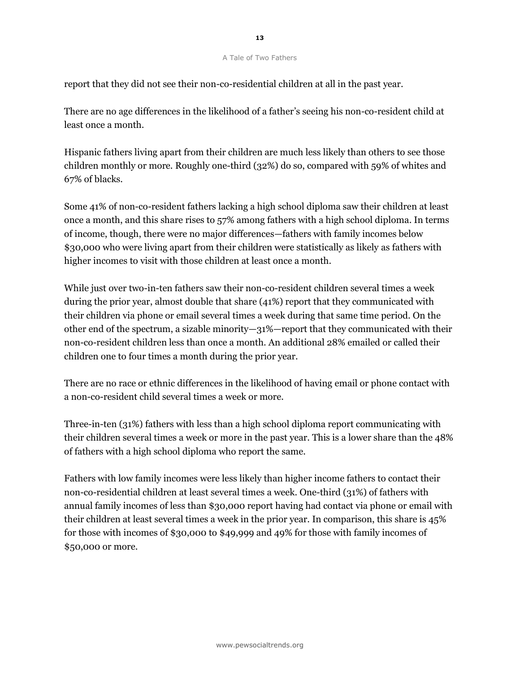report that they did not see their non-co-residential children at all in the past year.

There are no age differences in the likelihood of a father's seeing his non-co-resident child at least once a month.

Hispanic fathers living apart from their children are much less likely than others to see those children monthly or more. Roughly one-third (32%) do so, compared with 59% of whites and 67% of blacks.

Some 41% of non-co-resident fathers lacking a high school diploma saw their children at least once a month, and this share rises to 57% among fathers with a high school diploma. In terms of income, though, there were no major differences—fathers with family incomes below \$30,000 who were living apart from their children were statistically as likely as fathers with higher incomes to visit with those children at least once a month.

While just over two-in-ten fathers saw their non-co-resident children several times a week during the prior year, almost double that share (41%) report that they communicated with their children via phone or email several times a week during that same time period. On the other end of the spectrum, a sizable minority—31%—report that they communicated with their non-co-resident children less than once a month. An additional 28% emailed or called their children one to four times a month during the prior year.

There are no race or ethnic differences in the likelihood of having email or phone contact with a non-co-resident child several times a week or more.

Three-in-ten (31%) fathers with less than a high school diploma report communicating with their children several times a week or more in the past year. This is a lower share than the 48% of fathers with a high school diploma who report the same.

Fathers with low family incomes were less likely than higher income fathers to contact their non-co-residential children at least several times a week. One-third (31%) of fathers with annual family incomes of less than \$30,000 report having had contact via phone or email with their children at least several times a week in the prior year. In comparison, this share is 45% for those with incomes of \$30,000 to \$49,999 and 49% for those with family incomes of \$50,000 or more.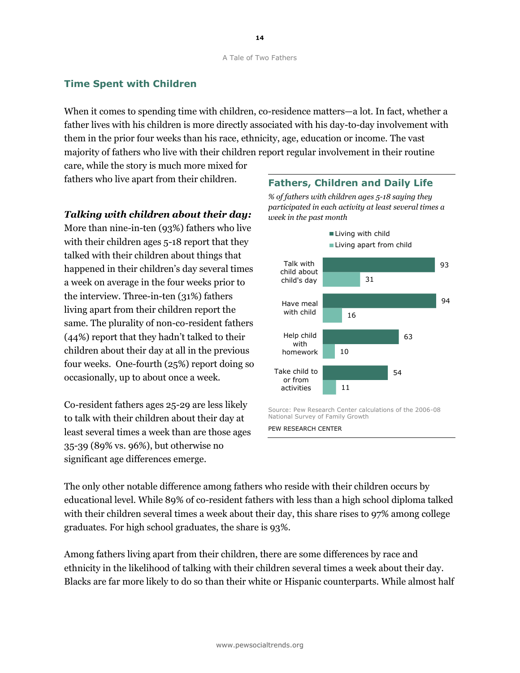### **Time Spent with Children**

When it comes to spending time with children, co-residence matters—a lot. In fact, whether a father lives with his children is more directly associated with his day-to-day involvement with them in the prior four weeks than his race, ethnicity, age, education or income. The vast majority of fathers who live with their children report regular involvement in their routine

care, while the story is much more mixed for fathers who live apart from their children.

#### *Talking with children about their day:*

More than nine-in-ten (93%) fathers who live with their children ages 5-18 report that they talked with their children about things that happened in their children's day several times a week on average in the four weeks prior to the interview. Three-in-ten (31%) fathers living apart from their children report the same. The plurality of non-co-resident fathers (44%) report that they hadn't talked to their children about their day at all in the previous four weeks. One-fourth (25%) report doing so occasionally, up to about once a week.

Co-resident fathers ages 25-29 are less likely to talk with their children about their day at least several times a week than are those ages 35-39 (89% vs. 96%), but otherwise no significant age differences emerge.



*% of fathers with children ages 5-18 saying they participated in each activity at least several times a week in the past month*



National Survey of Family Growth PEW RESEARCH CENTER

The only other notable difference among fathers who reside with their children occurs by educational level. While 89% of co-resident fathers with less than a high school diploma talked with their children several times a week about their day, this share rises to 97% among college graduates. For high school graduates, the share is 93%.

Among fathers living apart from their children, there are some differences by race and ethnicity in the likelihood of talking with their children several times a week about their day. Blacks are far more likely to do so than their white or Hispanic counterparts. While almost half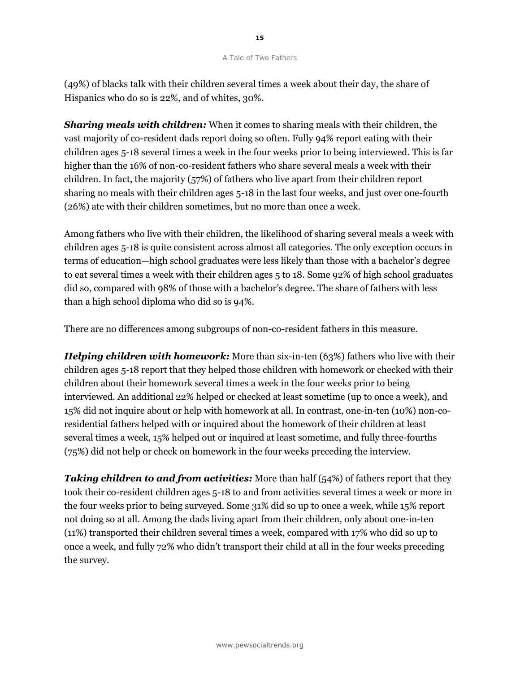(49%) of blacks talk with their children several times a week about their day, the share of Hispanics who do so is 22%, and of whites, 30%.

*Sharing meals with children:* When it comes to sharing meals with their children, the vast majority of co-resident dads report doing so often. Fully 94% report eating with their children ages 5-18 several times a week in the four weeks prior to being interviewed. This is far higher than the 16% of non-co-resident fathers who share several meals a week with their children. In fact, the majority (57%) of fathers who live apart from their children report sharing no meals with their children ages 5-18 in the last four weeks, and just over one-fourth (26%) ate with their children sometimes, but no more than once a week.

Among fathers who live with their children, the likelihood of sharing several meals a week with children ages 5-18 is quite consistent across almost all categories. The only exception occurs in terms of education—high school graduates were less likely than those with a bachelor's degree to eat several times a week with their children ages 5 to 18. Some 92% of high school graduates did so, compared with 98% of those with a bachelor's degree. The share of fathers with less than a high school diploma who did so is 94%.

There are no differences among subgroups of non-co-resident fathers in this measure.

*Helping children with homework:* More than six-in-ten (63%) fathers who live with their children ages 5-18 report that they helped those children with homework or checked with their children about their homework several times a week in the four weeks prior to being interviewed. An additional 22% helped or checked at least sometime (up to once a week), and 15% did not inquire about or help with homework at all. In contrast, one-in-ten (10%) non-coresidential fathers helped with or inquired about the homework of their children at least several times a week, 15% helped out or inquired at least sometime, and fully three-fourths (75%) did not help or check on homework in the four weeks preceding the interview.

**Taking children to and from activities:** More than half (54%) of fathers report that they took their co-resident children ages 5-18 to and from activities several times a week or more in the four weeks prior to being surveyed. Some 31% did so up to once a week, while 15% report not doing so at all. Among the dads living apart from their children, only about one-in-ten (11%) transported their children several times a week, compared with 17% who did so up to once a week, and fully 72% who didn't transport their child at all in the four weeks preceding the survey.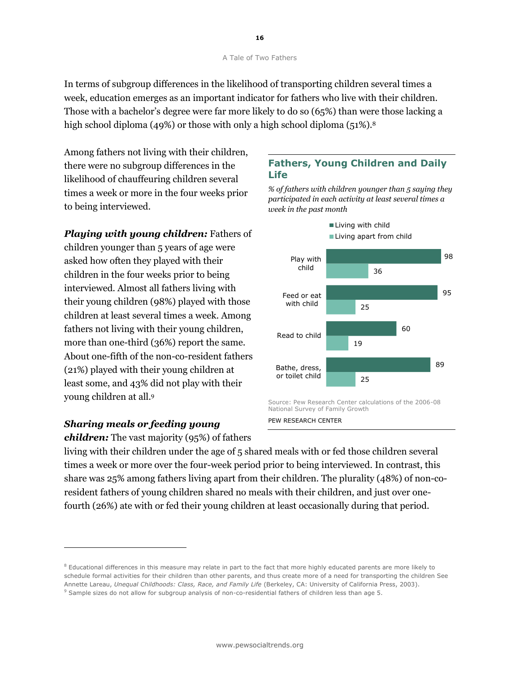In terms of subgroup differences in the likelihood of transporting children several times a week, education emerges as an important indicator for fathers who live with their children. Those with a bachelor's degree were far more likely to do so (65%) than were those lacking a high school diploma (49%) or those with only a high school diploma (51%).<sup>8</sup>

Among fathers not living with their children, there were no subgroup differences in the likelihood of chauffeuring children several times a week or more in the four weeks prior to being interviewed.

*Playing with young children:* Fathers of children younger than 5 years of age were asked how often they played with their children in the four weeks prior to being interviewed. Almost all fathers living with their young children (98%) played with those children at least several times a week. Among fathers not living with their young children, more than one-third (36%) report the same. About one-fifth of the non-co-resident fathers (21%) played with their young children at least some, and 43% did not play with their young children at all.<sup>9</sup>

#### *Sharing meals or feeding young*

1

*children:* The vast majority (95%) of fathers

### **Fathers, Young Children and Daily Life**

*% of fathers with children younger than 5 saying they participated in each activity at least several times a week in the past month*



PEW RESEARCH CENTER

living with their children under the age of 5 shared meals with or fed those children several times a week or more over the four-week period prior to being interviewed. In contrast, this share was 25% among fathers living apart from their children. The plurality (48%) of non-coresident fathers of young children shared no meals with their children, and just over onefourth (26%) ate with or fed their young children at least occasionally during that period.

<sup>&</sup>lt;sup>8</sup> Educational differences in this measure may relate in part to the fact that more highly educated parents are more likely to schedule formal activities for their children than other parents, and thus create more of a need for transporting the children See Annette Lareau, *Unequal Childhoods: Class, Race, and Family Life* (Berkeley, CA: University of California Press, 2003).

<sup>9</sup> Sample sizes do not allow for subgroup analysis of non-co-residential fathers of children less than age 5.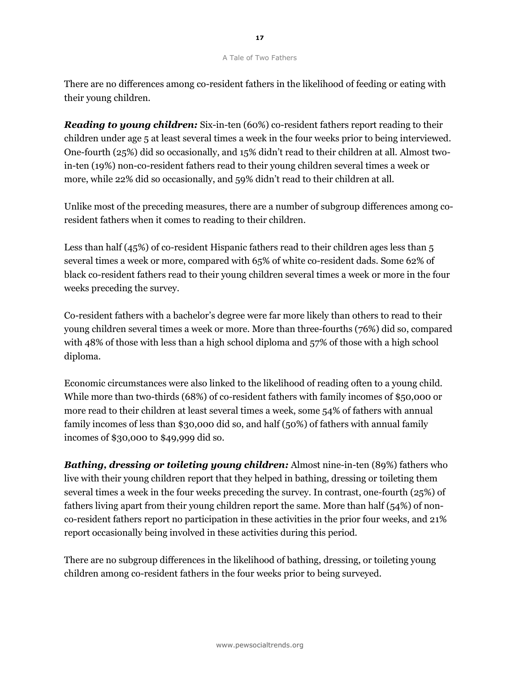There are no differences among co-resident fathers in the likelihood of feeding or eating with their young children.

*Reading to young children:* Six-in-ten (60%) co-resident fathers report reading to their children under age 5 at least several times a week in the four weeks prior to being interviewed. One-fourth (25%) did so occasionally, and 15% didn't read to their children at all. Almost twoin-ten (19%) non-co-resident fathers read to their young children several times a week or more, while 22% did so occasionally, and 59% didn't read to their children at all.

Unlike most of the preceding measures, there are a number of subgroup differences among coresident fathers when it comes to reading to their children.

Less than half (45%) of co-resident Hispanic fathers read to their children ages less than 5 several times a week or more, compared with 65% of white co-resident dads. Some 62% of black co-resident fathers read to their young children several times a week or more in the four weeks preceding the survey.

Co-resident fathers with a bachelor's degree were far more likely than others to read to their young children several times a week or more. More than three-fourths (76%) did so, compared with 48% of those with less than a high school diploma and 57% of those with a high school diploma.

Economic circumstances were also linked to the likelihood of reading often to a young child. While more than two-thirds (68%) of co-resident fathers with family incomes of \$50,000 or more read to their children at least several times a week, some 54% of fathers with annual family incomes of less than \$30,000 did so, and half (50%) of fathers with annual family incomes of \$30,000 to \$49,999 did so.

*Bathing, dressing or toileting young children:* Almost nine-in-ten (89%) fathers who live with their young children report that they helped in bathing, dressing or toileting them several times a week in the four weeks preceding the survey. In contrast, one-fourth (25%) of fathers living apart from their young children report the same. More than half (54%) of nonco-resident fathers report no participation in these activities in the prior four weeks, and 21% report occasionally being involved in these activities during this period.

There are no subgroup differences in the likelihood of bathing, dressing, or toileting young children among co-resident fathers in the four weeks prior to being surveyed.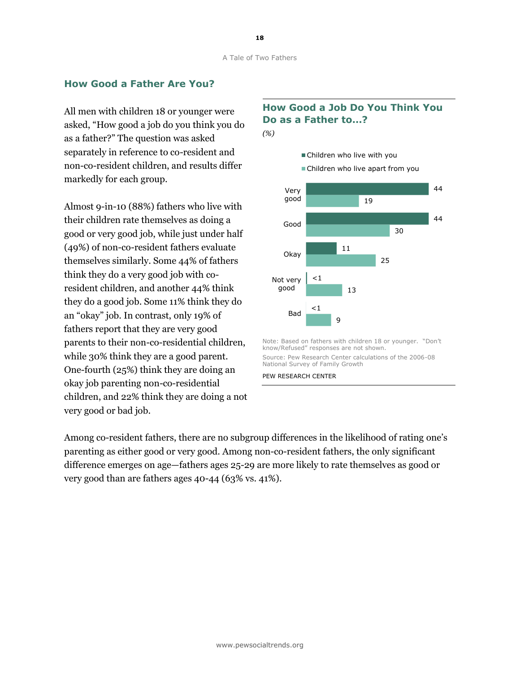#### **How Good a Father Are You?**

All men with children 18 or younger were asked, "How good a job do you think you do as a father?" The question was asked separately in reference to co-resident and non-co-resident children, and results differ markedly for each group.

Almost 9-in-10 (88%) fathers who live with their children rate themselves as doing a good or very good job, while just under half (49%) of non-co-resident fathers evaluate themselves similarly. Some 44% of fathers think they do a very good job with coresident children, and another 44% think they do a good job. Some 11% think they do an "okay" job. In contrast, only 19% of fathers report that they are very good parents to their non-co-residential children, while 30% think they are a good parent. One-fourth (25%) think they are doing an okay job parenting non-co-residential children, and 22% think they are doing a not very good or bad job.

### **How Good a Job Do You Think You Do as a Father to…?**





Among co-resident fathers, there are no subgroup differences in the likelihood of rating one's parenting as either good or very good. Among non-co-resident fathers, the only significant difference emerges on age—fathers ages 25-29 are more likely to rate themselves as good or very good than are fathers ages 40-44 (63% vs. 41%).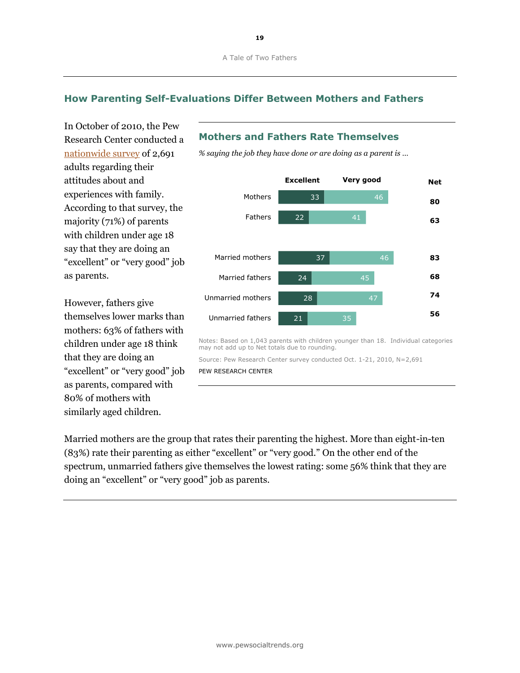### **How Parenting Self-Evaluations Differ Between Mothers and Fathers**

In October of 2010, the Pew Research Center conducted a [nationwide survey](http://pewsocialtrends.org/2010/11/18/the-decline-of-marriage-and-rise-of-new-families/) of 2,691 adults regarding their attitudes about and experiences with family. According to that survey, the majority (71%) of parents with children under age 18 say that they are doing an "excellent" or "very good" job as parents.

However, fathers give themselves lower marks than mothers: 63% of fathers with children under age 18 think that they are doing an "excellent" or "very good" job as parents, compared with 80% of mothers with similarly aged children.

### **Mothers and Fathers Rate Themselves**

*% saying the job they have done or are doing as a parent is …*



Notes: Based on 1,043 parents with children younger than 18. Individual categories may not add up to Net totals due to rounding.

Source: Pew Research Center survey conducted Oct. 1-21, 2010, N=2,691 PEW RESEARCH CENTER

Married mothers are the group that rates their parenting the highest. More than eight-in-ten  $(83%)$  rate their parenting as either "excellent" or "very good." On the other end of the spectrum, unmarried fathers give themselves the lowest rating: some 56% think that they are doing an "excellent" or "very good" job as parents.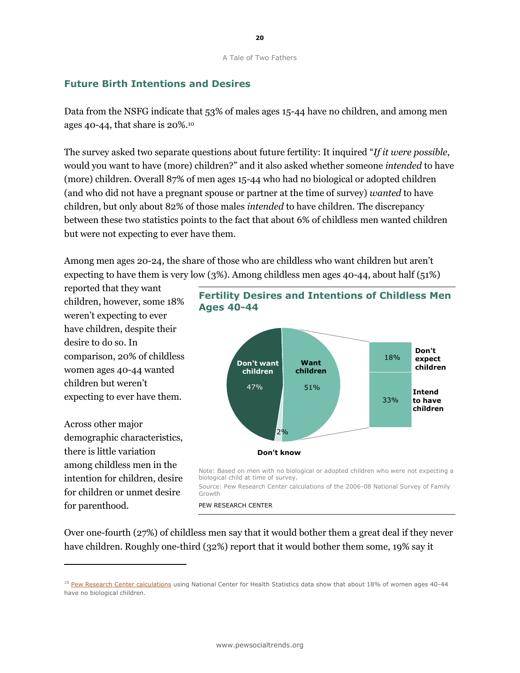#### **Future Birth Intentions and Desires**

Data from the NSFG indicate that 53% of males ages 15-44 have no children, and among men ages 40-44, that share is 20%.<sup>10</sup>

The survey asked two separate questions about future fertility: It inquired "*If it were possible*, would you want to have (more) children?" and it also asked whether someone *intended* to have (more) children. Overall 87% of men ages 15-44 who had no biological or adopted children (and who did not have a pregnant spouse or partner at the time of survey) *wanted* to have children, but only about 82% of those males *intended* to have children. The discrepancy between these two statistics points to the fact that about 6% of childless men wanted children but were not expecting to ever have them.

Among men ages 20-24, the share of those who are childless who want children but aren't expecting to have them is very low (3%). Among childless men ages 40-44, about half (51%)

**Ages 40-44**

reported that they want children, however, some 18% weren't expecting to ever have children, despite their desire to do so. In comparison, 20% of childless women ages 40-44 wanted children but weren't expecting to ever have them.

Across other major demographic characteristics, there is little variation among childless men in the intention for children, desire for children or unmet desire for parenthood.

l,



**Fertility Desires and Intentions of Childless Men** 

Note: Based on men with no biological or adopted children who were not expecting a

biological child at time of survey. Source: Pew Research Center calculations of the 2006-08 National Survey of Family Growth

PEW RESEARCH CENTER

Over one-fourth (27%) of childless men say that it would bother them a great deal if they never have children. Roughly one-third (32%) report that it would bother them some, 19% say it

<sup>&</sup>lt;sup>10</sup> [Pew Research Center calculations](http://pewsocialtrends.org/2010/06/25/childlessness-up-among-all-women-down-among-women-with-advanced-degrees/) using National Center for Health Statistics data show that about 18% of women ages 40-44 have no biological children.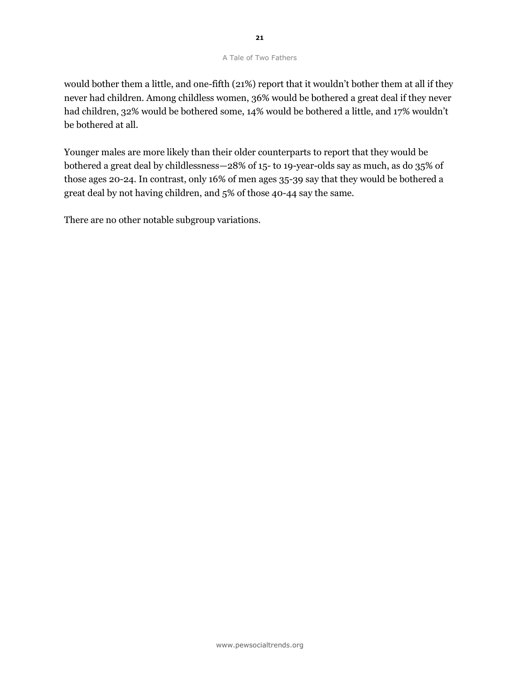would bother them a little, and one-fifth (21%) report that it wouldn't bother them at all if they never had children. Among childless women, 36% would be bothered a great deal if they never had children, 32% would be bothered some, 14% would be bothered a little, and 17% wouldn't be bothered at all.

Younger males are more likely than their older counterparts to report that they would be bothered a great deal by childlessness—28% of 15- to 19-year-olds say as much, as do 35% of those ages 20-24. In contrast, only 16% of men ages 35-39 say that they would be bothered a great deal by not having children, and 5% of those 40-44 say the same.

There are no other notable subgroup variations.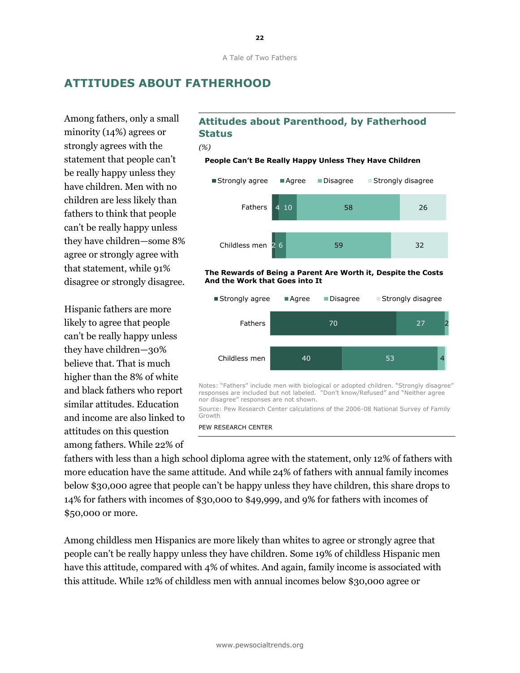### **ATTITUDES ABOUT FATHERHOOD**

Among fathers, only a small minority (14%) agrees or strongly agrees with the statement that people can't be really happy unless they have children. Men with no children are less likely than fathers to think that people can't be really happy unless they have children—some 8% agree or strongly agree with that statement, while 91% disagree or strongly disagree.

Hispanic fathers are more likely to agree that people can't be really happy unless they have children—30% believe that. That is much higher than the 8% of white and black fathers who report similar attitudes. Education and income are also linked to attitudes on this question among fathers. While 22% of

### **Attitudes about Parenthood, by Fatherhood Status**

*(%)*

#### **People Can't Be Really Happy Unless They Have Children**



#### **The Rewards of Being a Parent Are Worth it, Despite the Costs And the Work that Goes into It**



Source: Pew Research Center calculations of the 2006-08 National Survey of Family Growth

fathers with less than a high school diploma agree with the statement, only 12% of fathers with more education have the same attitude. And while 24% of fathers with annual family incomes below \$30,000 agree that people can't be happy unless they have children, this share drops to 14% for fathers with incomes of \$30,000 to \$49,999, and 9% for fathers with incomes of \$50,000 or more.

Among childless men Hispanics are more likely than whites to agree or strongly agree that people can't be really happy unless they have children. Some 19% of childless Hispanic men have this attitude, compared with 4% of whites. And again, family income is associated with this attitude. While 12% of childless men with annual incomes below \$30,000 agree or

PEW RESEARCH CENTER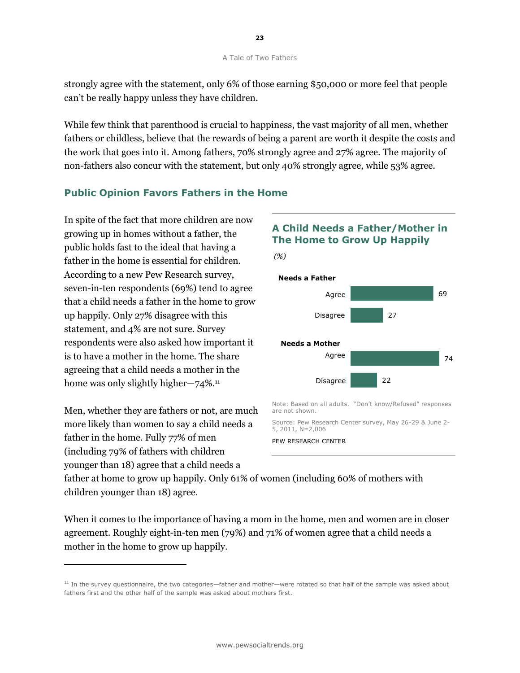strongly agree with the statement, only 6% of those earning \$50,000 or more feel that people can't be really happy unless they have children.

While few think that parenthood is crucial to happiness, the vast majority of all men, whether fathers or childless, believe that the rewards of being a parent are worth it despite the costs and the work that goes into it. Among fathers, 70% strongly agree and 27% agree. The majority of non-fathers also concur with the statement, but only 40% strongly agree, while 53% agree.

### **Public Opinion Favors Fathers in the Home**

In spite of the fact that more children are now growing up in homes without a father, the public holds fast to the ideal that having a father in the home is essential for children. According to a new Pew Research survey, seven-in-ten respondents (69%) tend to agree that a child needs a father in the home to grow up happily. Only 27% disagree with this statement, and 4% are not sure. Survey respondents were also asked how important it is to have a mother in the home. The share agreeing that a child needs a mother in the home was only slightly higher—74%.<sup>11</sup>

Men, whether they are fathers or not, are much more likely than women to say a child needs a father in the home. Fully 77% of men (including 79% of fathers with children younger than 18) agree that a child needs a

l,

## 69 27 **Needs a Father** Agree Disagree **A Child Needs a Father/Mother in The Home to Grow Up Happily** *(%)*



Note: Based on all adults. "Don't know/Refused" responses are not shown.

Source: Pew Research Center survey, May 26-29 & June 2- 5, 2011, N=2,006



father at home to grow up happily. Only 61% of women (including 60% of mothers with children younger than 18) agree.

When it comes to the importance of having a mom in the home, men and women are in closer agreement. Roughly eight-in-ten men (79%) and 71% of women agree that a child needs a mother in the home to grow up happily.

<sup>&</sup>lt;sup>11</sup> In the survey questionnaire, the two categories—father and mother—were rotated so that half of the sample was asked about fathers first and the other half of the sample was asked about mothers first.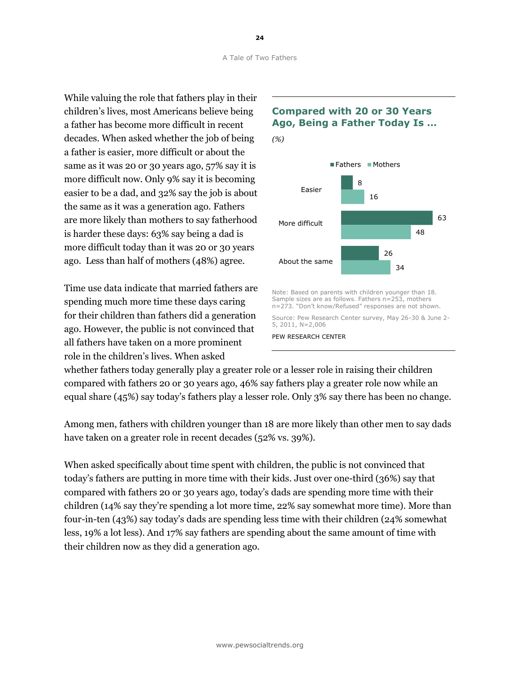While valuing the role that fathers play in their children's lives, most Americans believe being a father has become more difficult in recent decades. When asked whether the job of being a father is easier, more difficult or about the same as it was 20 or 30 years ago, 57% say it is more difficult now. Only 9% say it is becoming easier to be a dad, and 32% say the job is about the same as it was a generation ago. Fathers are more likely than mothers to say fatherhood is harder these days: 63% say being a dad is more difficult today than it was 20 or 30 years ago. Less than half of mothers (48%) agree.

Time use data indicate that married fathers are spending much more time these days caring for their children than fathers did a generation ago. However, the public is not convinced that all fathers have taken on a more prominent role in the children's lives. When asked



### **Compared with 20 or 30 Years Ago, Being a Father Today Is …**

Note: Based on parents with children younger than 18. Sample sizes are as follows. Fathers n=253, mothers n=273. "Don't know/Refused" responses are not shown.

Source: Pew Research Center survey, May 26-30 & June 2- 5, 2011, N=2,006

34

PEW RESEARCH CENTER

whether fathers today generally play a greater role or a lesser role in raising their children compared with fathers 20 or 30 years ago, 46% say fathers play a greater role now while an equal share (45%) say today's fathers play a lesser role. Only 3% say there has been no change.

Among men, fathers with children younger than 18 are more likely than other men to say dads have taken on a greater role in recent decades (52% vs. 39%).

When asked specifically about time spent with children, the public is not convinced that today's fathers are putting in more time with their kids. Just over one-third (36%) say that compared with fathers 20 or 30 years ago, today's dads are spending more time with their children (14% say they're spending a lot more time, 22% say somewhat more time). More than four-in-ten (43%) say today's dads are spending less time with their children (24% somewhat less, 19% a lot less). And 17% say fathers are spending about the same amount of time with their children now as they did a generation ago.

**24**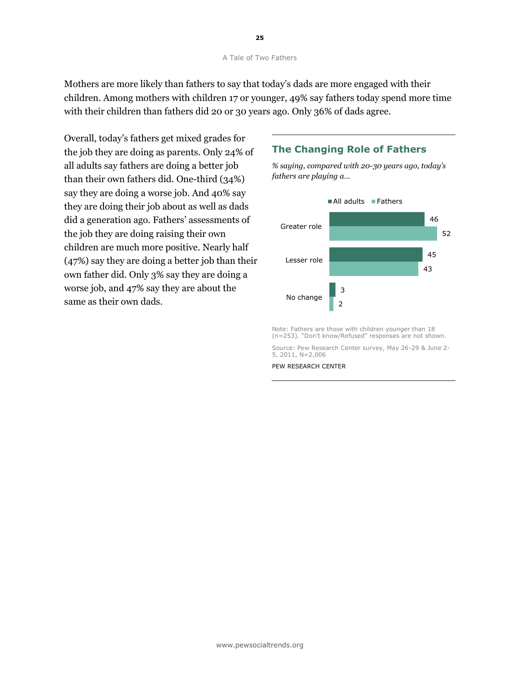Mothers are more likely than fathers to say that today's dads are more engaged with their children. Among mothers with children 17 or younger, 49% say fathers today spend more time with their children than fathers did 20 or 30 years ago. Only 36% of dads agree.

Overall, today's fathers get mixed grades for the job they are doing as parents. Only 24% of all adults say fathers are doing a better job than their own fathers did. One-third (34%) say they are doing a worse job. And 40% say they are doing their job about as well as dads did a generation ago. Fathers' assessments of the job they are doing raising their own children are much more positive. Nearly half (47%) say they are doing a better job than their own father did. Only 3% say they are doing a worse job, and 47% say they are about the same as their own dads.

### **The Changing Role of Fathers**

*% saying, compared with 20-30 years ago, today's fathers are playing a…*



Note: Fathers are those with children younger than 18 (n=253). "Don't know/Refused" responses are not shown.

Source: Pew Research Center survey, May 26-29 & June 2- 5, 2011, N=2,006

PEW RESEARCH CENTER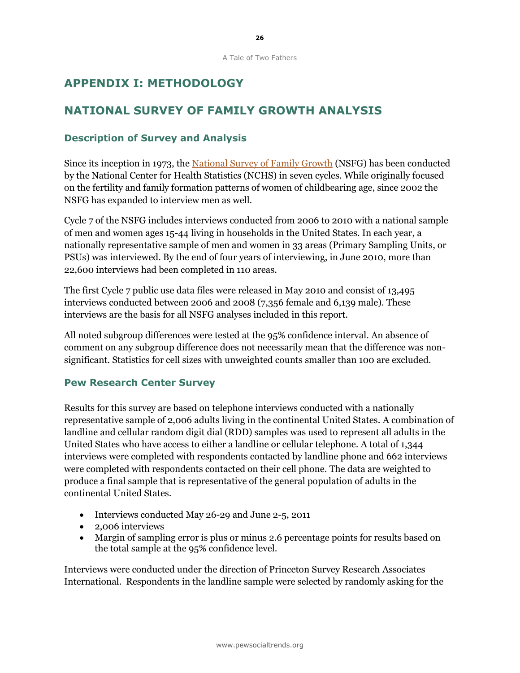# **APPENDIX I: METHODOLOGY**

# **NATIONAL SURVEY OF FAMILY GROWTH ANALYSIS**

### **Description of Survey and Analysis**

Since its inception in 1973, the [National Survey of Family Growth](http://www.cdc.gov/nchs/nsfg.htm) (NSFG) has been conducted by the National Center for Health Statistics (NCHS) in seven cycles. While originally focused on the fertility and family formation patterns of women of childbearing age, since 2002 the NSFG has expanded to interview men as well.

Cycle 7 of the NSFG includes interviews conducted from 2006 to 2010 with a national sample of men and women ages 15-44 living in households in the United States. In each year, a nationally representative sample of men and women in 33 areas (Primary Sampling Units, or PSUs) was interviewed. By the end of four years of interviewing, in June 2010, more than 22,600 interviews had been completed in 110 areas.

The first Cycle 7 public use data files were released in May 2010 and consist of 13,495 interviews conducted between 2006 and 2008 (7,356 female and 6,139 male). These interviews are the basis for all NSFG analyses included in this report.

All noted subgroup differences were tested at the 95% confidence interval. An absence of comment on any subgroup difference does not necessarily mean that the difference was nonsignificant. Statistics for cell sizes with unweighted counts smaller than 100 are excluded.

#### **Pew Research Center Survey**

Results for this survey are based on telephone interviews conducted with a nationally representative sample of 2,006 adults living in the continental United States. A combination of landline and cellular random digit dial (RDD) samples was used to represent all adults in the United States who have access to either a landline or cellular telephone. A total of 1,344 interviews were completed with respondents contacted by landline phone and 662 interviews were completed with respondents contacted on their cell phone. The data are weighted to produce a final sample that is representative of the general population of adults in the continental United States.

- Interviews conducted May 26-29 and June 2-5, 2011
- 2,006 interviews
- Margin of sampling error is plus or minus 2.6 percentage points for results based on the total sample at the 95% confidence level.

Interviews were conducted under the direction of Princeton Survey Research Associates International. Respondents in the landline sample were selected by randomly asking for the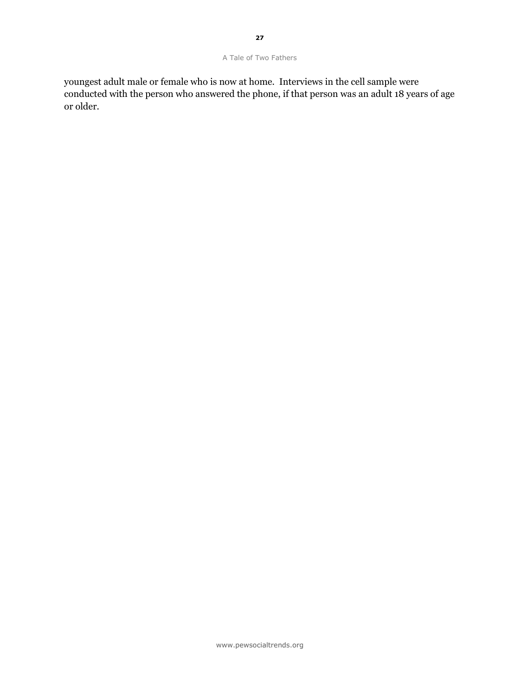youngest adult male or female who is now at home. Interviews in the cell sample were conducted with the person who answered the phone, if that person was an adult 18 years of age or older.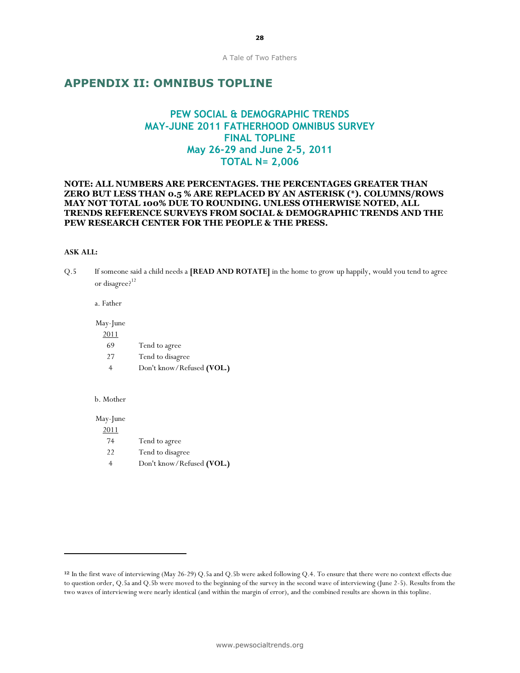### **APPENDIX II: OMNIBUS TOPLINE**

### **PEW SOCIAL & DEMOGRAPHIC TRENDS MAY-JUNE 2011 FATHERHOOD OMNIBUS SURVEY FINAL TOPLINE May 26-29 and June 2-5, 2011 TOTAL N= 2,006**

#### **NOTE: ALL NUMBERS ARE PERCENTAGES. THE PERCENTAGES GREATER THAN ZERO BUT LESS THAN 0.5 % ARE REPLACED BY AN ASTERISK (\*). COLUMNS/ROWS MAY NOT TOTAL 100% DUE TO ROUNDING. UNLESS OTHERWISE NOTED, ALL TRENDS REFERENCE SURVEYS FROM SOCIAL & DEMOGRAPHIC TRENDS AND THE PEW RESEARCH CENTER FOR THE PEOPLE & THE PRESS.**

#### **ASK ALL:**

Q.5 If someone said a child needs a **[READ AND ROTATE]** in the home to grow up happily, would you tend to agree or disagree?<sup>12</sup>

a. Father

May-June

| 2011 |                           |
|------|---------------------------|
| 69   | Tend to agree             |
| 27   | Tend to disagree          |
| 4    | Don't know/Refused (VOL.) |

b. Mother

l,

May-June 2011 74 Tend to agree 22 Tend to disagree 4 Don't know/Refused **(VOL.)**

<sup>12</sup> In the first wave of interviewing (May 26-29) Q.5a and Q.5b were asked following Q.4. To ensure that there were no context effects due to question order, Q.5a and Q.5b were moved to the beginning of the survey in the second wave of interviewing (June 2-5). Results from the two waves of interviewing were nearly identical (and within the margin of error), and the combined results are shown in this topline.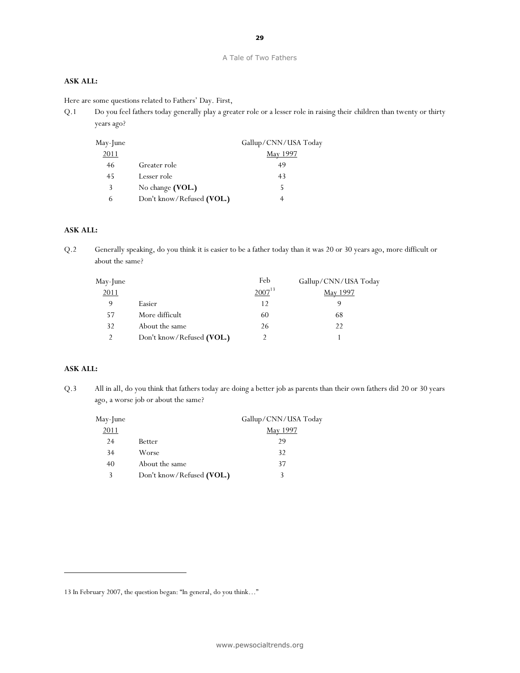#### **ASK ALL:**

Here are some questions related to Fathers' Day. First,

Q.1 Do you feel fathers today generally play a greater role or a lesser role in raising their children than twenty or thirty years ago?

| $May$ - June |                           | Gallup/CNN/USA Today |
|--------------|---------------------------|----------------------|
| 2011         |                           | <u>May 1997</u>      |
| 46           | Greater role              | 49                   |
| 45           | Lesser role               | 43                   |
| 3            | No change (VOL.)          |                      |
| 6            | Don't know/Refused (VOL.) |                      |

#### **ASK ALL:**

Q.2 Generally speaking, do you think it is easier to be a father today than it was 20 or 30 years ago, more difficult or about the same?

| May-June |                           | Feb         | Gallup/CNN/USA Today |
|----------|---------------------------|-------------|----------------------|
| 2011     |                           | $2007^{13}$ | May 1997             |
| 9        | Easier                    | 12          |                      |
| 57       | More difficult            | 60          | 68                   |
| 32       | About the same            | 26          | 22                   |
|          | Don't know/Refused (VOL.) |             |                      |

#### **ASK ALL:**

1

Q.3 All in all, do you think that fathers today are doing a better job as parents than their own fathers did 20 or 30 years ago, a worse job or about the same?

| May-June |                           | Gallup/CNN/USA Today |
|----------|---------------------------|----------------------|
| 2011     |                           | <u>May 1997</u>      |
| 24       | Better                    | 29                   |
| 34       | Worse                     | 32                   |
| 40       | About the same            | 37                   |
| 3        | Don't know/Refused (VOL.) |                      |
|          |                           |                      |

<sup>13</sup> In February 2007, the question began: "In general, do you think…"